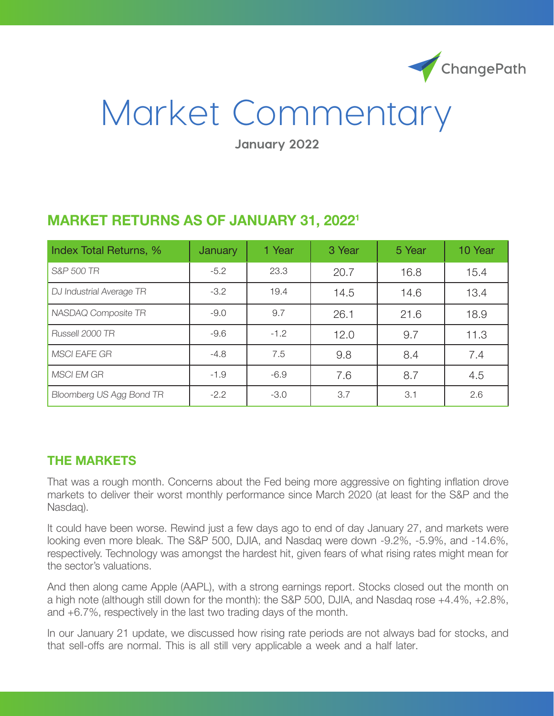

# Market Commentary

**January 2022**

| Index Total Returns, %   | <b>January</b> | 1 Year | 3 Year | 5 Year | 10 Year |
|--------------------------|----------------|--------|--------|--------|---------|
| S&P 500 TR               | $-5.2$         | 23.3   | 20.7   | 16.8   | 15.4    |
| DJ Industrial Average TR | $-3.2$         | 19.4   | 14.5   | 14.6   | 13.4    |
| NASDAQ Composite TR      | $-9.0$         | 9.7    | 26.1   | 21.6   | 18.9    |
| Russell 2000 TR          | $-9.6$         | $-1.2$ | 12.0   | 9.7    | 11.3    |
| <b>MSCI EAFE GR</b>      | $-4.8$         | 7.5    | 9.8    | 8.4    | 7.4     |
| <b>MSCI EM GR</b>        | $-1.9$         | $-6.9$ | 7.6    | 8.7    | 4.5     |
| Bloomberg US Agg Bond TR | $-2.2$         | $-3.0$ | 3.7    | 3.1    | 2.6     |

## **MARKET RETURNS AS OF JANUARY 31, 20221**

### **THE MARKETS**

That was a rough month. Concerns about the Fed being more aggressive on fighting inflation drove markets to deliver their worst monthly performance since March 2020 (at least for the S&P and the Nasdaq).

It could have been worse. Rewind just a few days ago to end of day January 27, and markets were looking even more bleak. The S&P 500, DJIA, and Nasdaq were down -9.2%, -5.9%, and -14.6%, respectively. Technology was amongst the hardest hit, given fears of what rising rates might mean for the sector's valuations.

And then along came Apple (AAPL), with a strong earnings report. Stocks closed out the month on a high note (although still down for the month): the S&P 500, DJIA, and Nasdaq rose +4.4%, +2.8%, and +6.7%, respectively in the last two trading days of the month.

In our January 21 update, we discussed how rising rate periods are not always bad for stocks, and that sell-offs are normal. This is all still very applicable a week and a half later.